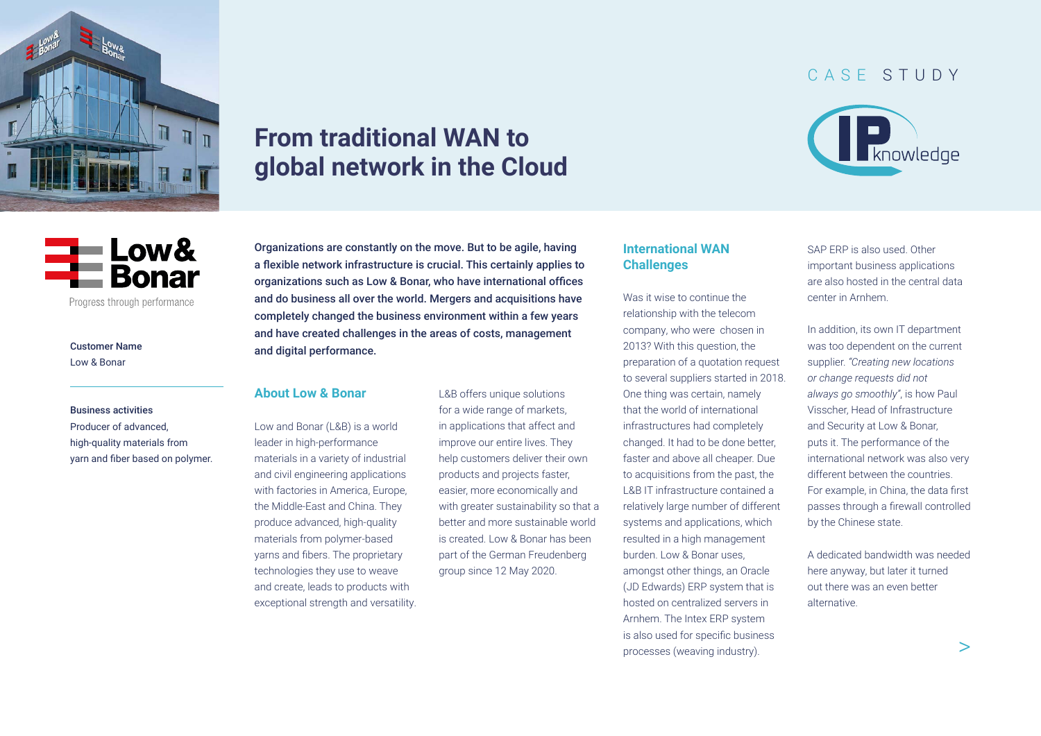<span id="page-0-0"></span>

# **From traditional WAN to global network in the Cloud**

## CASE STUDY





Customer Name

Low & Bonar

#### Business activities

Producer of advanced, high-quality materials from yarn and fiber based on polymer. Organizations are constantly on the move. But to be agile, having a flexible network infrastructure is crucial. This certainly applies to organizations such as Low & Bonar, who have international offices and do business all over the world. Mergers and acquisitions have completely changed the business environment within a few years and have created challenges in the areas of costs, management and digital performance.

#### **About Low & Bonar**

Low and Bonar (L&B) is a world leader in high-performance materials in a variety of industrial and civil engineering applications with factories in America, Europe, the Middle-East and China. They produce advanced, high-quality materials from polymer-based yarns and fibers. The proprietary technologies they use to weave and create, leads to products with exceptional strength and versatility. L&B offers unique solutions for a wide range of markets, in applications that affect and improve our entire lives. They help customers deliver their own products and projects faster, easier, more economically and with greater sustainability so that a better and more sustainable world is created. Low & Bonar has been part of the German Freudenberg group since 12 May 2020.

#### **International WAN Challenges**

Was it wise to continue the relationship with the telecom company, who were chosen in 2013? With this question, the preparation of a quotation request to several suppliers started in 2018. One thing was certain, namely that the world of international infrastructures had completely changed. It had to be done better, faster and above all cheaper. Due to acquisitions from the past, the L&B IT infrastructure contained a relatively large number of different systems and applications, which resulted in a high management burden. Low & Bonar uses, amongst other things, an Oracle (JD Edwards) ERP system that is hosted on centralized servers in Arnhem. The Intex ERP system is also used for specific business processes (weaving industry).

SAP ERP is also used. Other important business applications are also hosted in the central data center in Arnhem.

In addition, its own IT department was too dependent on the current supplier. *"Creating new locations or change requests did not always go smoothly"*, is how Paul Visscher, Head of Infrastructure and Security at Low & Bonar, puts it. The performance of the international network was also very different between the countries. For example, in China, the data first passes through a firewall controlled by the Chinese state.

A dedicated bandwidth was needed here anyway, but later it turned out there was an even better alternative.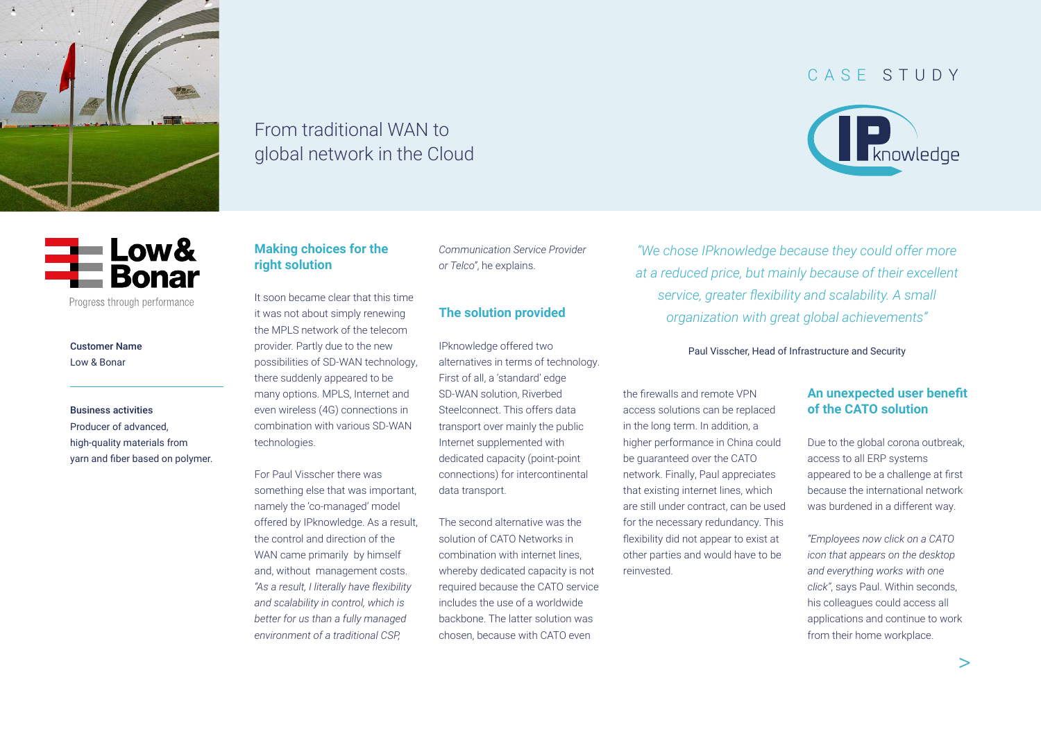

# From traditional WAN to global network in the Cloud



Progress through performance

Customer Name Low & Bonar

Business activities Producer of advanced, high-quality materials from yarn and fiber based on polymer.

### **Making choices for the right solution**

It soon became clear that this time it was not about simply renewing the MPLS network of the telecom provider. Partly due to the new possibilities of SD-WAN technology, there suddenly appeared to be many options. MPLS, Internet and even wireless (4G) connections in combination with various SD-WAN technologies.

For Paul Visscher there was something else that was important, namely the 'co-managed' model offered by IPknowledge. As a result, the control and direction of the WAN came primarily by himself and, without management costs. *"As a result, I literally have flexibility and scalability in control, which is better for us than a fully managed environment of a traditional CSP,*

*Communication Service Provider or Telco"*, he explains.

## **The solution provided**

IPknowledge offered two alternatives in terms of technology. First of all, a 'standard' edge SD-WAN solution, Riverbed Steelconnect. This offers data transport over mainly the public Internet supplemented with dedicated capacity (point-point connections) for intercontinental data transport.

The second alternative was the solution of CATO Networks in combination with internet lines, whereby dedicated capacity is not required because the CATO service includes the use of a worldwide backbone. The latter solution was chosen, because with CATO even

*"We chose IPknowledge because they could offer more at a reduced price, but mainly because of their excellent service, greater flexibility and scalability. A small organization with great global achievements"*

Paul Visscher, Head of Infrastructure and Security

the firewalls and remote VPN access solutions can be replaced in the long term. In addition, a higher performance in China could be guaranteed over the CATO network. Finally, Paul appreciates that existing internet lines, which are still under contract, can be used for the necessary redundancy. This flexibility did not appear to exist at other parties and would have to be reinvested.

## **An unexpected user benefit of the CATO solution**

Due to the global corona outbreak, access to all ERP systems appeared to be a challenge at first because the international network was burdened in a different way.

*"Employees now click on a CATO icon that appears on the desktop and everything works with one click''*, says Paul. Within seconds, his colleagues could access all applications and continue to work from their home workplace.

## [CASE STUDY](#page-0-0)